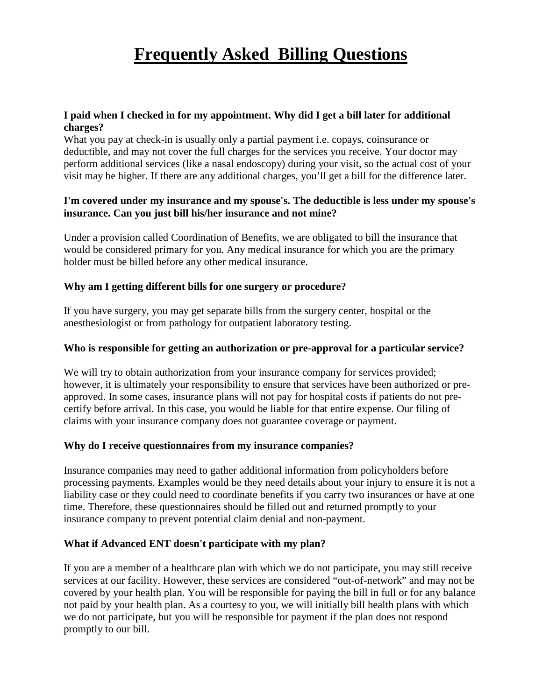# **Frequently Asked Billing Questions**

## **I paid when I checked in for my appointment. Why did I get a bill later for additional charges?**

What you pay at check-in is usually only a partial payment i.e. copays, coinsurance or deductible, and may not cover the full charges for the services you receive. Your doctor may perform additional services (like a nasal endoscopy) during your visit, so the actual cost of your visit may be higher. If there are any additional charges, you'll get a bill for the difference later.

# **I'm covered under my insurance and my spouse's. The deductible is less under my spouse's insurance. Can you just bill his/her insurance and not mine?**

Under a provision called Coordination of Benefits, we are obligated to bill the insurance that would be considered primary for you. Any medical insurance for which you are the primary holder must be billed before any other medical insurance.

# **Why am I getting different bills for one surgery or procedure?**

If you have surgery, you may get separate bills from the surgery center, hospital or the anesthesiologist or from pathology for outpatient laboratory testing.

## **Who is responsible for getting an authorization or pre-approval for a particular service?**

We will try to obtain authorization from your insurance company for services provided; however, it is ultimately your responsibility to ensure that services have been authorized or preapproved. In some cases, insurance plans will not pay for hospital costs if patients do not precertify before arrival. In this case, you would be liable for that entire expense. Our filing of claims with your insurance company does not guarantee coverage or payment.

# **Why do I receive questionnaires from my insurance companies?**

Insurance companies may need to gather additional information from policyholders before processing payments. Examples would be they need details about your injury to ensure it is not a liability case or they could need to coordinate benefits if you carry two insurances or have at one time. Therefore, these questionnaires should be filled out and returned promptly to your insurance company to prevent potential claim denial and non-payment.

# **What if Advanced ENT doesn't participate with my plan?**

If you are a member of a healthcare plan with which we do not participate, you may still receive services at our facility. However, these services are considered "out-of-network" and may not be covered by your health plan. You will be responsible for paying the bill in full or for any balance not paid by your health plan. As a courtesy to you, we will initially bill health plans with which we do not participate, but you will be responsible for payment if the plan does not respond promptly to our bill.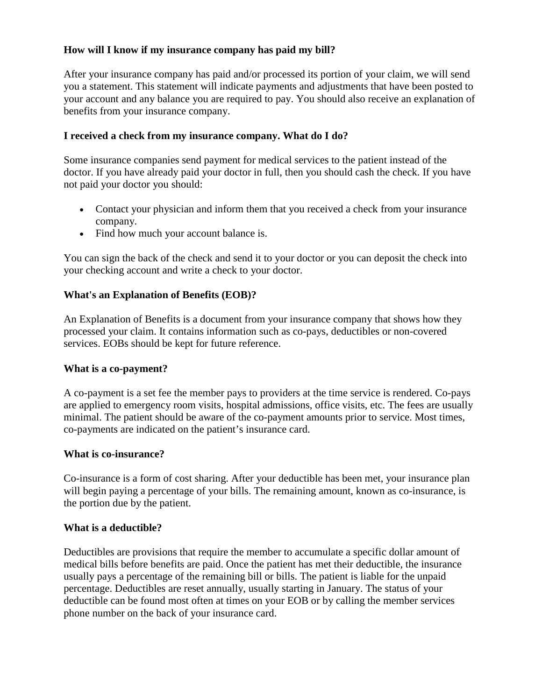# **How will I know if my insurance company has paid my bill?**

After your insurance company has paid and/or processed its portion of your claim, we will send you a statement. This statement will indicate payments and adjustments that have been posted to your account and any balance you are required to pay. You should also receive an explanation of benefits from your insurance company.

## **I received a check from my insurance company. What do I do?**

Some insurance companies send payment for medical services to the patient instead of the doctor. If you have already paid your doctor in full, then you should cash the check. If you have not paid your doctor you should:

- Contact your physician and inform them that you received a check from your insurance company.
- Find how much your account balance is.

You can sign the back of the check and send it to your doctor or you can deposit the check into your checking account and write a check to your doctor.

## **What's an Explanation of Benefits (EOB)?**

An Explanation of Benefits is a document from your insurance company that shows how they processed your claim. It contains information such as co-pays, deductibles or non-covered services. EOBs should be kept for future reference.

#### **What is a co-payment?**

A co-payment is a set fee the member pays to providers at the time service is rendered. Co-pays are applied to emergency room visits, hospital admissions, office visits, etc. The fees are usually minimal. The patient should be aware of the co-payment amounts prior to service. Most times, co-payments are indicated on the patient's insurance card.

#### **What is co-insurance?**

Co-insurance is a form of cost sharing. After your deductible has been met, your insurance plan will begin paying a percentage of your bills. The remaining amount, known as co-insurance, is the portion due by the patient.

#### **What is a deductible?**

Deductibles are provisions that require the member to accumulate a specific dollar amount of medical bills before benefits are paid. Once the patient has met their deductible, the insurance usually pays a percentage of the remaining bill or bills. The patient is liable for the unpaid percentage. Deductibles are reset annually, usually starting in January. The status of your deductible can be found most often at times on your EOB or by calling the member services phone number on the back of your insurance card.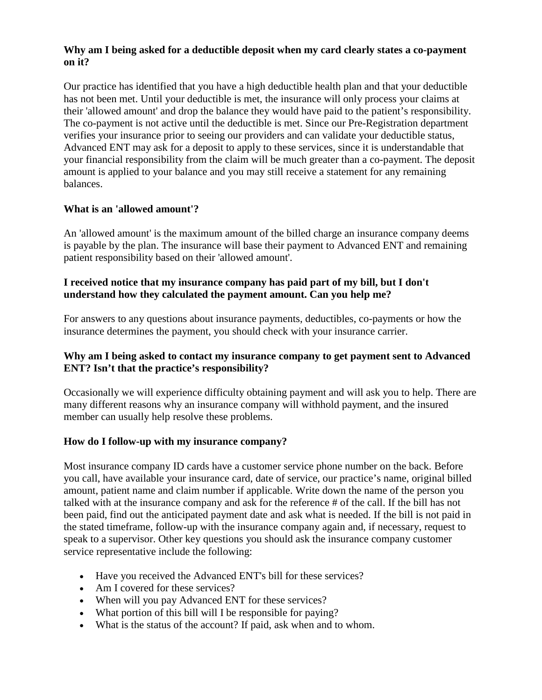## **Why am I being asked for a deductible deposit when my card clearly states a co-payment on it?**

Our practice has identified that you have a high deductible health plan and that your deductible has not been met. Until your deductible is met, the insurance will only process your claims at their 'allowed amount' and drop the balance they would have paid to the patient's responsibility. The co-payment is not active until the deductible is met. Since our Pre-Registration department verifies your insurance prior to seeing our providers and can validate your deductible status, Advanced ENT may ask for a deposit to apply to these services, since it is understandable that your financial responsibility from the claim will be much greater than a co-payment. The deposit amount is applied to your balance and you may still receive a statement for any remaining balances.

# **What is an 'allowed amount'?**

An 'allowed amount' is the maximum amount of the billed charge an insurance company deems is payable by the plan. The insurance will base their payment to Advanced ENT and remaining patient responsibility based on their 'allowed amount'.

# **I received notice that my insurance company has paid part of my bill, but I don't understand how they calculated the payment amount. Can you help me?**

For answers to any questions about insurance payments, deductibles, co-payments or how the insurance determines the payment, you should check with your insurance carrier.

# **Why am I being asked to contact my insurance company to get payment sent to Advanced ENT? Isn't that the practice's responsibility?**

Occasionally we will experience difficulty obtaining payment and will ask you to help. There are many different reasons why an insurance company will withhold payment, and the insured member can usually help resolve these problems.

# **How do I follow-up with my insurance company?**

Most insurance company ID cards have a customer service phone number on the back. Before you call, have available your insurance card, date of service, our practice's name, original billed amount, patient name and claim number if applicable. Write down the name of the person you talked with at the insurance company and ask for the reference # of the call. If the bill has not been paid, find out the anticipated payment date and ask what is needed. If the bill is not paid in the stated timeframe, follow-up with the insurance company again and, if necessary, request to speak to a supervisor. Other key questions you should ask the insurance company customer service representative include the following:

- Have you received the Advanced ENT's bill for these services?
- Am I covered for these services?
- When will you pay Advanced ENT for these services?
- What portion of this bill will I be responsible for paying?
- What is the status of the account? If paid, ask when and to whom.